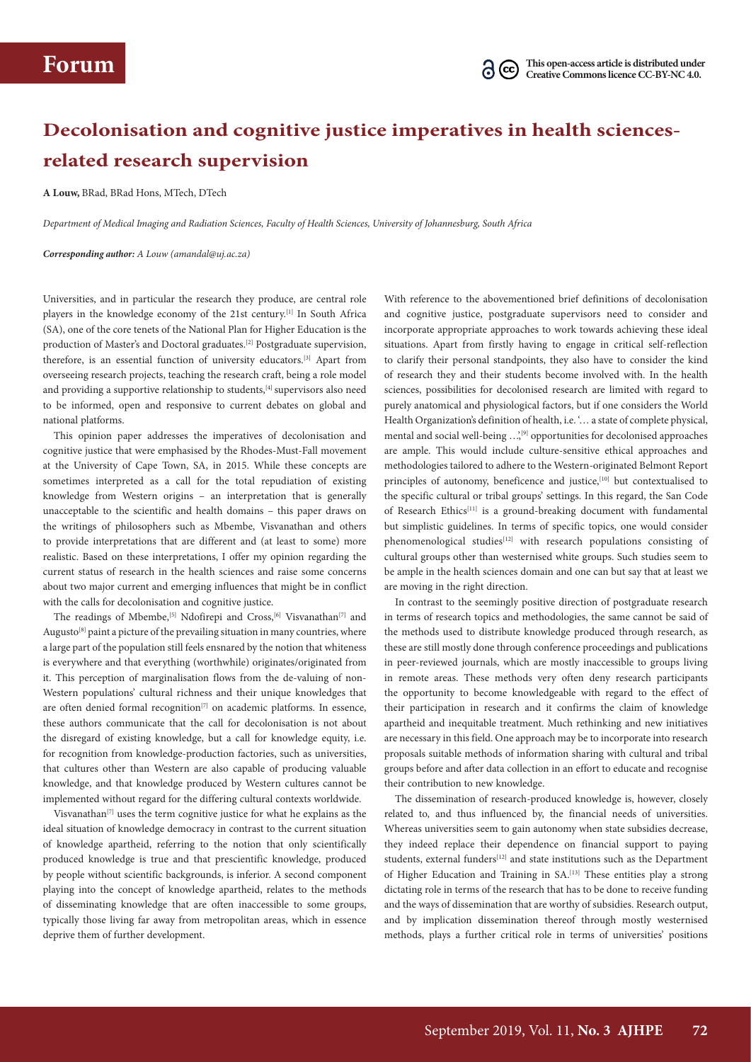## **Decolonisation and cognitive justice imperatives in health sciencesrelated research supervision**

**A Louw,** BRad, BRad Hons, MTech, DTech

*Department of Medical Imaging and Radiation Sciences, Faculty of Health Sciences, University of Johannesburg, South Africa*

*Corresponding author: A Louw (amandal@uj.ac.za)*

Universities, and in particular the research they produce, are central role players in the knowledge economy of the 21st century.[1] In South Africa (SA), one of the core tenets of the National Plan for Higher Education is the production of Master's and Doctoral graduates.[2] Postgraduate supervision, therefore, is an essential function of university educators.[3] Apart from overseeing research projects, teaching the research craft, being a role model and providing a supportive relationship to students, [4] supervisors also need to be informed, open and responsive to current debates on global and national platforms.

This opinion paper addresses the imperatives of decolonisation and cognitive justice that were emphasised by the Rhodes-Must-Fall movement at the University of Cape Town, SA, in 2015. While these concepts are sometimes interpreted as a call for the total repudiation of existing knowledge from Western origins – an interpretation that is generally unacceptable to the scientific and health domains – this paper draws on the writings of philosophers such as Mbembe, Visvanathan and others to provide interpretations that are different and (at least to some) more realistic. Based on these interpretations, I offer my opinion regarding the current status of research in the health sciences and raise some concerns about two major current and emerging influences that might be in conflict with the calls for decolonisation and cognitive justice.

The readings of Mbembe,<sup>[5]</sup> Ndofirepi and Cross,<sup>[6]</sup> Visvanathan<sup>[7]</sup> and Augusto<sup>[8]</sup> paint a picture of the prevailing situation in many countries, where a large part of the population still feels ensnared by the notion that whiteness is everywhere and that everything (worthwhile) originates/originated from it. This perception of marginalisation flows from the de-valuing of non-Western populations' cultural richness and their unique knowledges that are often denied formal recognition<sup>[7]</sup> on academic platforms. In essence, these authors communicate that the call for decolonisation is not about the disregard of existing knowledge, but a call for knowledge equity, i.e. for recognition from knowledge-production factories, such as universities, that cultures other than Western are also capable of producing valuable knowledge, and that knowledge produced by Western cultures cannot be implemented without regard for the differing cultural contexts worldwide.

Visvanathan<sup>[7]</sup> uses the term cognitive justice for what he explains as the ideal situation of knowledge democracy in contrast to the current situation of knowledge apartheid, referring to the notion that only scientifically produced knowledge is true and that prescientific knowledge, produced by people without scientific backgrounds, is inferior. A second component playing into the concept of knowledge apartheid, relates to the methods of disseminating knowledge that are often inaccessible to some groups, typically those living far away from metropolitan areas, which in essence deprive them of further development.

With reference to the abovementioned brief definitions of decolonisation and cognitive justice, postgraduate supervisors need to consider and incorporate appropriate approaches to work towards achieving these ideal situations. Apart from firstly having to engage in critical self-reflection to clarify their personal standpoints, they also have to consider the kind of research they and their students become involved with. In the health sciences, possibilities for decolonised research are limited with regard to purely anatomical and physiological factors, but if one considers the World Health Organization's definition of health, i.e. '… a state of complete physical, mental and social well-being ...,<sup>[9]</sup> opportunities for decolonised approaches are ample. This would include culture-sensitive ethical approaches and methodologies tailored to adhere to the Western-originated Belmont Report principles of autonomy, beneficence and justice,<sup>[10]</sup> but contextualised to the specific cultural or tribal groups' settings. In this regard, the San Code of Research Ethics<sup>[11]</sup> is a ground-breaking document with fundamental but simplistic guidelines. In terms of specific topics, one would consider phenomenological studies<sup>[12]</sup> with research populations consisting of cultural groups other than westernised white groups. Such studies seem to be ample in the health sciences domain and one can but say that at least we are moving in the right direction.

In contrast to the seemingly positive direction of postgraduate research in terms of research topics and methodologies, the same cannot be said of the methods used to distribute knowledge produced through research, as these are still mostly done through conference proceedings and publications in peer-reviewed journals, which are mostly inaccessible to groups living in remote areas. These methods very often deny research participants the opportunity to become knowledgeable with regard to the effect of their participation in research and it confirms the claim of knowledge apartheid and inequitable treatment. Much rethinking and new initiatives are necessary in this field. One approach may be to incorporate into research proposals suitable methods of information sharing with cultural and tribal groups before and after data collection in an effort to educate and recognise their contribution to new knowledge.

The dissemination of research-produced knowledge is, however, closely related to, and thus influenced by, the financial needs of universities. Whereas universities seem to gain autonomy when state subsidies decrease, they indeed replace their dependence on financial support to paying students, external funders<sup>[12]</sup> and state institutions such as the Department of Higher Education and Training in SA.[13] These entities play a strong dictating role in terms of the research that has to be done to receive funding and the ways of dissemination that are worthy of subsidies. Research output, and by implication dissemination thereof through mostly westernised methods, plays a further critical role in terms of universities' positions